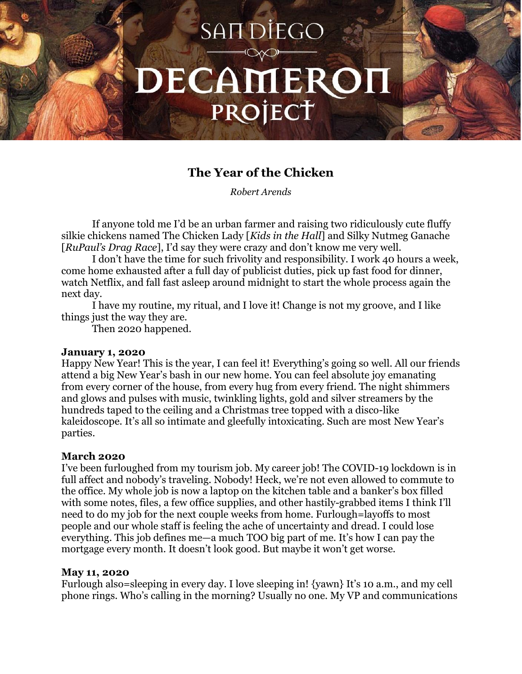# SAN DİEGO DECAMERON PROJECT

# **The Year of the Chicken**

*Robert Arends*

If anyone told me I'd be an urban farmer and raising two ridiculously cute fluffy silkie chickens named The Chicken Lady [*Kids in the Hall*] and Silky Nutmeg Ganache [*RuPaul's Drag Race*], I'd say they were crazy and don't know me very well.

I don't have the time for such frivolity and responsibility. I work 40 hours a week, come home exhausted after a full day of publicist duties, pick up fast food for dinner, watch Netflix, and fall fast asleep around midnight to start the whole process again the next day.

I have my routine, my ritual, and I love it! Change is not my groove, and I like things just the way they are.

Then 2020 happened.

# **January 1, 2020**

Happy New Year! This is the year, I can feel it! Everything's going so well. All our friends attend a big New Year's bash in our new home. You can feel absolute joy emanating from every corner of the house, from every hug from every friend. The night shimmers and glows and pulses with music, twinkling lights, gold and silver streamers by the hundreds taped to the ceiling and a Christmas tree topped with a disco-like kaleidoscope. It's all so intimate and gleefully intoxicating. Such are most New Year's parties.

# **March 2020**

I've been furloughed from my tourism job. My career job! The COVID-19 lockdown is in full affect and nobody's traveling. Nobody! Heck, we're not even allowed to commute to the office. My whole job is now a laptop on the kitchen table and a banker's box filled with some notes, files, a few office supplies, and other hastily-grabbed items I think I'll need to do my job for the next couple weeks from home. Furlough=layoffs to most people and our whole staff is feeling the ache of uncertainty and dread. I could lose everything. This job defines me—a much TOO big part of me. It's how I can pay the mortgage every month. It doesn't look good. But maybe it won't get worse.

#### **May 11, 2020**

Furlough also=sleeping in every day. I love sleeping in! {yawn} It's 10 a.m., and my cell phone rings. Who's calling in the morning? Usually no one. My VP and communications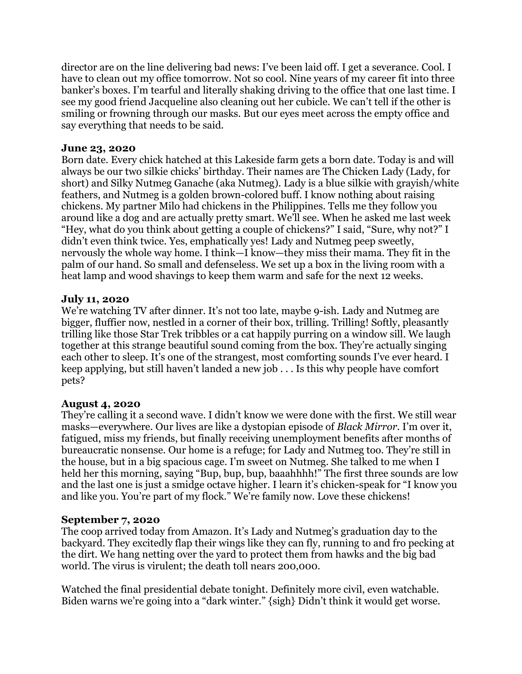director are on the line delivering bad news: I've been laid off. I get a severance. Cool. I have to clean out my office tomorrow. Not so cool. Nine years of my career fit into three banker's boxes. I'm tearful and literally shaking driving to the office that one last time. I see my good friend Jacqueline also cleaning out her cubicle. We can't tell if the other is smiling or frowning through our masks. But our eyes meet across the empty office and say everything that needs to be said.

#### **June 23, 2020**

Born date. Every chick hatched at this Lakeside farm gets a born date. Today is and will always be our two silkie chicks' birthday. Their names are The Chicken Lady (Lady, for short) and Silky Nutmeg Ganache (aka Nutmeg). Lady is a blue silkie with grayish/white feathers, and Nutmeg is a golden brown-colored buff. I know nothing about raising chickens. My partner Milo had chickens in the Philippines. Tells me they follow you around like a dog and are actually pretty smart. We'll see. When he asked me last week "Hey, what do you think about getting a couple of chickens?" I said, "Sure, why not?" I didn't even think twice. Yes, emphatically yes! Lady and Nutmeg peep sweetly, nervously the whole way home. I think—I know—they miss their mama. They fit in the palm of our hand. So small and defenseless. We set up a box in the living room with a heat lamp and wood shavings to keep them warm and safe for the next 12 weeks.

#### **July 11, 2020**

We're watching TV after dinner. It's not too late, maybe 9-ish. Lady and Nutmeg are bigger, fluffier now, nestled in a corner of their box, trilling. Trilling! Softly, pleasantly trilling like those Star Trek tribbles or a cat happily purring on a window sill. We laugh together at this strange beautiful sound coming from the box. They're actually singing each other to sleep. It's one of the strangest, most comforting sounds I've ever heard. I keep applying, but still haven't landed a new job . . . Is this why people have comfort pets?

# **August 4, 2020**

They're calling it a second wave. I didn't know we were done with the first. We still wear masks—everywhere. Our lives are like a dystopian episode of *Black Mirror.* I'm over it, fatigued, miss my friends, but finally receiving unemployment benefits after months of bureaucratic nonsense. Our home is a refuge; for Lady and Nutmeg too. They're still in the house, but in a big spacious cage. I'm sweet on Nutmeg. She talked to me when I held her this morning, saying "Bup, bup, bup, baaahhhh!" The first three sounds are low and the last one is just a smidge octave higher. I learn it's chicken-speak for "I know you and like you. You're part of my flock." We're family now. Love these chickens!

# **September 7, 2020**

The coop arrived today from Amazon. It's Lady and Nutmeg's graduation day to the backyard. They excitedly flap their wings like they can fly, running to and fro pecking at the dirt. We hang netting over the yard to protect them from hawks and the big bad world. The virus is virulent; the death toll nears 200,000.

Watched the final presidential debate tonight. Definitely more civil, even watchable. Biden warns we're going into a "dark winter." {sigh} Didn't think it would get worse.